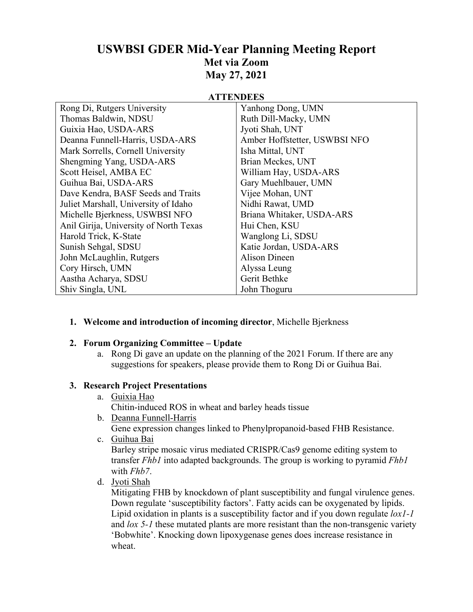# **USWBSI GDER Mid-Year Planning Meeting Report Met via Zoom May 27, 2021**

### **ATTENDEES**

| Rong Di, Rutgers University            | Yanhong Dong, UMN             |
|----------------------------------------|-------------------------------|
| Thomas Baldwin, NDSU                   | Ruth Dill-Macky, UMN          |
| Guixia Hao, USDA-ARS                   | Jyoti Shah, UNT               |
| Deanna Funnell-Harris, USDA-ARS        | Amber Hoffstetter, USWBSI NFO |
| Mark Sorrells, Cornell University      | Isha Mittal, UNT              |
| Shengming Yang, USDA-ARS               | Brian Meckes, UNT             |
| Scott Heisel, AMBA EC                  | William Hay, USDA-ARS         |
| Guihua Bai, USDA-ARS                   | Gary Muehlbauer, UMN          |
| Dave Kendra, BASF Seeds and Traits     | Vijee Mohan, UNT              |
| Juliet Marshall, University of Idaho   | Nidhi Rawat, UMD              |
| Michelle Bjerkness, USWBSI NFO         | Briana Whitaker, USDA-ARS     |
| Anil Girija, University of North Texas | Hui Chen, KSU                 |
| Harold Trick, K-State                  | Wanglong Li, SDSU             |
| Sunish Sehgal, SDSU                    | Katie Jordan, USDA-ARS        |
| John McLaughlin, Rutgers               | <b>Alison Dineen</b>          |
| Cory Hirsch, UMN                       | Alyssa Leung                  |
| Aastha Acharya, SDSU                   | Gerit Bethke                  |
| Shiv Singla, UNL                       | John Thoguru                  |

**1. Welcome and introduction of incoming director**, Michelle Bjerkness

## **2. Forum Organizing Committee – Update**

a. Rong Di gave an update on the planning of the 2021 Forum. If there are any suggestions for speakers, please provide them to Rong Di or Guihua Bai.

## **3. Research Project Presentations**

a. Guixia Hao

Chitin-induced ROS in wheat and barley heads tissue

- b. Deanna Funnell-Harris Gene expression changes linked to Phenylpropanoid-based FHB Resistance.
- c. Guihua Bai

Barley stripe mosaic virus mediated CRISPR/Cas9 genome editing system to transfer *Fhb1* into adapted backgrounds. The group is working to pyramid *Fhb1* with *Fhb7*.

d. Jyoti Shah

Mitigating FHB by knockdown of plant susceptibility and fungal virulence genes. Down regulate 'susceptibility factors'. Fatty acids can be oxygenated by lipids. Lipid oxidation in plants is a susceptibility factor and if you down regulate *lox1-1* and *lox 5-1* these mutated plants are more resistant than the non-transgenic variety 'Bobwhite'. Knocking down lipoxygenase genes does increase resistance in wheat.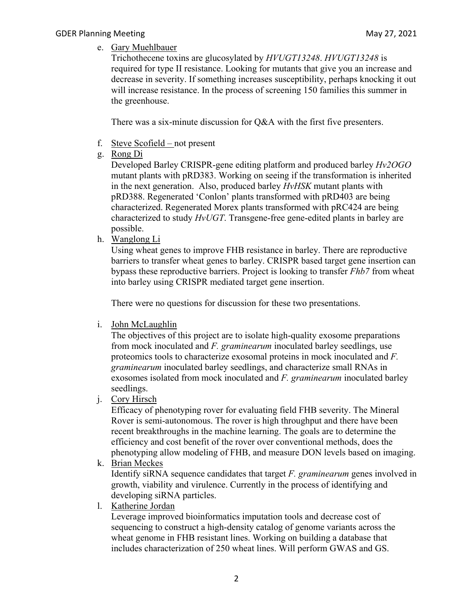e. Gary Muehlbauer

Trichothecene toxins are glucosylated by *HVUGT13248*. *HVUGT13248* is required for type II resistance. Looking for mutants that give you an increase and decrease in severity. If something increases susceptibility, perhaps knocking it out will increase resistance. In the process of screening 150 families this summer in the greenhouse.

There was a six-minute discussion for Q&A with the first five presenters.

- f. Steve Scofield not present
- g. Rong Di

Developed Barley CRISPR-gene editing platform and produced barley *Hv2OGO* mutant plants with pRD383. Working on seeing if the transformation is inherited in the next generation. Also, produced barley *HvHSK* mutant plants with pRD388. Regenerated 'Conlon' plants transformed with pRD403 are being characterized. Regenerated Morex plants transformed with pRC424 are being characterized to study *HvUGT*. Transgene-free gene-edited plants in barley are possible.

h. Wanglong Li

Using wheat genes to improve FHB resistance in barley. There are reproductive barriers to transfer wheat genes to barley. CRISPR based target gene insertion can bypass these reproductive barriers. Project is looking to transfer *Fhb7* from wheat into barley using CRISPR mediated target gene insertion.

There were no questions for discussion for these two presentations.

i. John McLaughlin

The objectives of this project are to isolate high-quality exosome preparations from mock inoculated and *F. graminearum* inoculated barley seedlings, use proteomics tools to characterize exosomal proteins in mock inoculated and *F. graminearum* inoculated barley seedlings, and characterize small RNAs in exosomes isolated from mock inoculated and *F. graminearum* inoculated barley seedlings.

j. Cory Hirsch

Efficacy of phenotyping rover for evaluating field FHB severity. The Mineral Rover is semi-autonomous. The rover is high throughput and there have been recent breakthroughs in the machine learning. The goals are to determine the efficiency and cost benefit of the rover over conventional methods, does the phenotyping allow modeling of FHB, and measure DON levels based on imaging.

k. Brian Meckes

Identify siRNA sequence candidates that target *F. graminearum* genes involved in growth, viability and virulence. Currently in the process of identifying and developing siRNA particles.

l. Katherine Jordan

Leverage improved bioinformatics imputation tools and decrease cost of sequencing to construct a high-density catalog of genome variants across the wheat genome in FHB resistant lines. Working on building a database that includes characterization of 250 wheat lines. Will perform GWAS and GS.